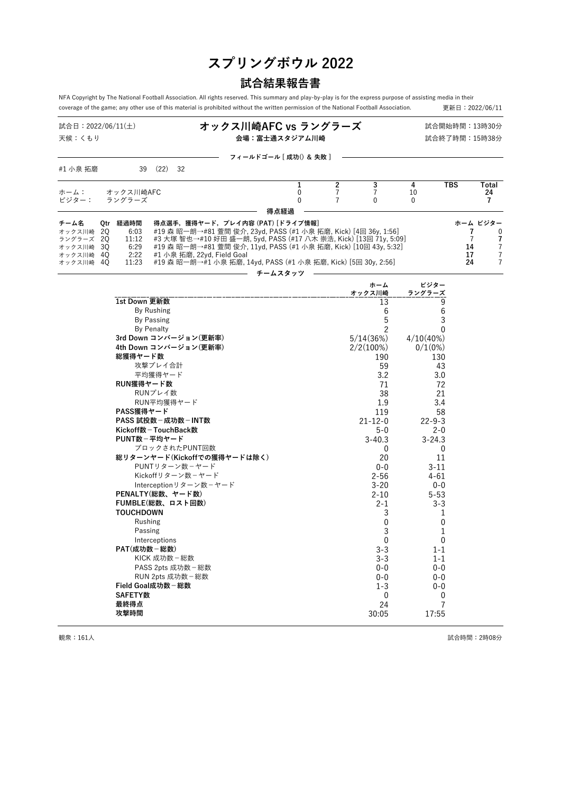# **スプリングボウル 2022**

# **試合結果報告書**

NFA Copyright by The National Football Association. All rights reserved. This summary and play-by-play is for the express purpose of assisting media in their<br>coverage of the game; any other use of this material is prohib coverage of the game; any other use of this material is prohibited without the written permission of the National Football Association.

| 試合日:2022/06/11(土)<br>天候:くもり                                        |     |                                                                                                                                                                                                   |                                                                                                     |  | オックス川崎AFC vs ラングラーズ<br>会場:富士通スタジアム川崎                                             |                                                                                                                                                                                                                                                                                                                         |        |                                |                                                                                                                                                            |         |                                                                                                                                                            | 試合開始時間:13時30分<br>試合終了時間:15時38分        |                                                           |
|--------------------------------------------------------------------|-----|---------------------------------------------------------------------------------------------------------------------------------------------------------------------------------------------------|-----------------------------------------------------------------------------------------------------|--|----------------------------------------------------------------------------------|-------------------------------------------------------------------------------------------------------------------------------------------------------------------------------------------------------------------------------------------------------------------------------------------------------------------------|--------|--------------------------------|------------------------------------------------------------------------------------------------------------------------------------------------------------|---------|------------------------------------------------------------------------------------------------------------------------------------------------------------|---------------------------------------|-----------------------------------------------------------|
|                                                                    |     |                                                                                                                                                                                                   |                                                                                                     |  |                                                                                  | フィールドゴール [ 成功() & 失敗 ]                                                                                                                                                                                                                                                                                                  |        |                                |                                                                                                                                                            |         |                                                                                                                                                            |                                       |                                                           |
| #1 小泉 拓磨                                                           |     | 39                                                                                                                                                                                                | $(22)$ 32                                                                                           |  |                                                                                  |                                                                                                                                                                                                                                                                                                                         |        |                                |                                                                                                                                                            |         |                                                                                                                                                            |                                       |                                                           |
| ホーム:                                                               |     | オックス川崎AFC                                                                                                                                                                                         |                                                                                                     |  |                                                                                  |                                                                                                                                                                                                                                                                                                                         | 1<br>0 | $\mathbf{2}$<br>$\overline{7}$ | 3<br>$\overline{7}$                                                                                                                                        | 4<br>10 |                                                                                                                                                            | <b>TBS</b>                            | Total<br>24                                               |
| ビジター:                                                              |     | ラングラーズ                                                                                                                                                                                            |                                                                                                     |  |                                                                                  |                                                                                                                                                                                                                                                                                                                         | 0      | $\overline{7}$                 | $\mathbf{0}$                                                                                                                                               | 0       |                                                                                                                                                            |                                       | $\overline{7}$                                            |
|                                                                    |     |                                                                                                                                                                                                   |                                                                                                     |  |                                                                                  | 得点経過                                                                                                                                                                                                                                                                                                                    |        |                                |                                                                                                                                                            |         |                                                                                                                                                            |                                       |                                                           |
| チーム名<br>オックス川崎 20<br>ラングラーズ 20<br>オックス川崎<br>オックス川崎 4Q<br>オックス川崎 4Q | -30 | Otr 経過時間<br>6:03<br>11:12<br>6:29<br>2:22<br>11:23                                                                                                                                                |                                                                                                     |  | #1 小泉 拓磨, 22yd, Field Goal                                                       | 得点選手,獲得ヤード,プレイ内容 (PAT) [ドライブ情報]<br>#19 森 昭一朗→#81 萱間 俊介, 23vd, PASS (#1 小泉 拓磨, Kick) [4回 36v, 1:56]<br>#3 大塚 智也→#10 好田 盛一朗, 5yd, PASS (#17 八木 崇浩, Kick) [13回 71y, 5:09]<br>#19 森 昭一朗→#81 萱間 俊介, 11yd, PASS (#1 小泉 拓磨, Kick) [10回 43y, 5:32]<br>#19 森 昭一朗→#1 小泉 拓磨, 14yd, PASS (#1 小泉 拓磨, Kick) [5回 30y, 2:56]<br>チームスタッツ |        |                                |                                                                                                                                                            |         |                                                                                                                                                            | 7<br>$\overline{7}$<br>14<br>17<br>24 | ホーム ビジター<br>$\mathbf{0}$<br>7<br>7<br>$\overline{7}$<br>7 |
|                                                                    |     |                                                                                                                                                                                                   |                                                                                                     |  |                                                                                  |                                                                                                                                                                                                                                                                                                                         |        |                                |                                                                                                                                                            |         | ビジター                                                                                                                                                       |                                       |                                                           |
|                                                                    |     |                                                                                                                                                                                                   |                                                                                                     |  |                                                                                  |                                                                                                                                                                                                                                                                                                                         |        |                                | ホーム<br>オックス川崎                                                                                                                                              |         | ラングラーズ                                                                                                                                                     |                                       |                                                           |
|                                                                    |     | 1st Down 更新数<br>3rd Down コンバージョン(更新率)<br>4th Down コンバージョン(更新率)<br>総獲得ヤード数<br>RUN獲得ヤード数<br>PASS獲得ヤード<br>PASS 試投数 - 成功数 - INT数<br>Kickoff数-TouchBack数<br>PUNT数-平均ヤード<br>総リターンヤード(Kickoffでの獲得ヤードは除く) | By Rushing<br><b>By Passing</b><br><b>By Penalty</b><br>攻撃プレイ合計<br>平均獲得ヤード<br>RUNプレイ数<br>RUN平均獲得ヤード |  | ブロックされたPUNT回数                                                                    |                                                                                                                                                                                                                                                                                                                         |        |                                | 13<br>6<br>5<br>$\overline{c}$<br>5/14(36%)<br>$2/2(100\%)$<br>190<br>59<br>3.2<br>71<br>38<br>1.9<br>119<br>$21 - 12 - 0$<br>5-0<br>$3 - 40.3$<br>0<br>20 |         | 9<br>6<br>3<br>$\mathbf{0}$<br>$4/10(40\%)$<br>$0/1(0\%)$<br>130<br>43<br>3.0<br>72<br>21<br>3.4<br>58<br>$22 - 9 - 3$<br>$2 - 0$<br>$3 - 24.3$<br>0<br>11 |                                       |                                                           |
|                                                                    |     | PENALTY(総数、ヤード数)<br>FUMBLE(総数、ロスト回数)<br><b>TOUCHDOWN</b><br>Rushing<br>Passing<br>PAT(成功数-総数)<br>Field Goal成功数-総数<br><b>SAFETY数</b><br>最終得点<br>攻撃時間                                               | Interceptions<br>KICK 成功数-総数<br>RUN 2pts 成功数-総数                                                     |  | PUNTリターン数-ヤード<br>Kickoffリターン数ーヤード<br>Interceptionリターン数-ヤード<br>PASS 2pts 成功数 - 総数 |                                                                                                                                                                                                                                                                                                                         |        |                                | $0 - 0$<br>$2 - 56$<br>$3 - 20$<br>$2 - 10$<br>2-1<br>3<br>0<br>3<br>0<br>$3 - 3$<br>$3 - 3$<br>$0 - 0$<br>$0 - 0$<br>$1 - 3$<br>0<br>24<br>30:05          |         | $3 - 11$<br>4-61<br>$0 - 0$<br>$5 - 53$<br>3-3<br>1<br>0<br>1<br>0<br>$1 - 1$<br>$1 - 1$<br>$0 - 0$<br>$0 - 0$<br>0-0<br>0<br>7<br>17:55                   |                                       |                                                           |

観衆:161人 試合時間:2時08分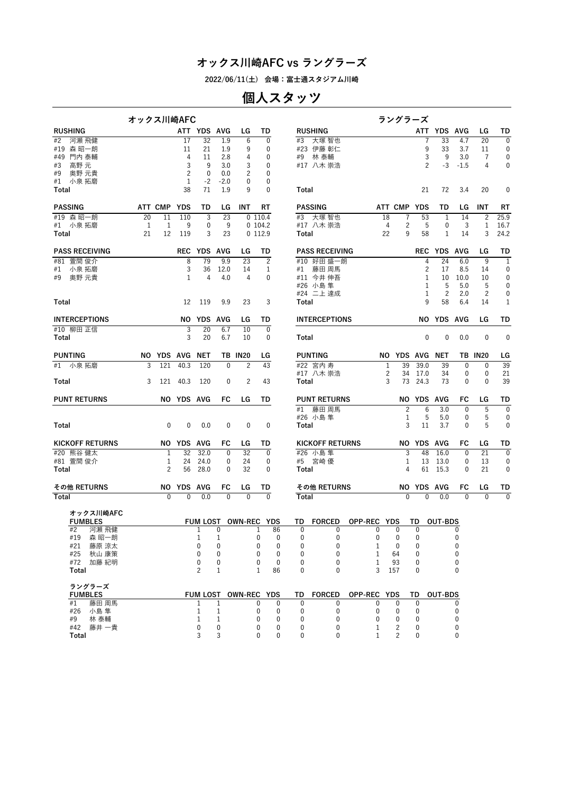**2022/06/11(土) 会場:富士通スタジアム川崎**

# **個人スタッツ**

|                             | オックス川崎AFC |                |              |             |                   |                 |                      |                          |                              |                             |                              | ラングラーズ            |                              |                |                          |                 |                  |
|-----------------------------|-----------|----------------|--------------|-------------|-------------------|-----------------|----------------------|--------------------------|------------------------------|-----------------------------|------------------------------|-------------------|------------------------------|----------------|--------------------------|-----------------|------------------|
| <b>RUSHING</b>              |           |                |              | ATT YDS AVG |                   | LG              | TD                   |                          |                              | <b>RUSHING</b>              |                              |                   |                              | ATT YDS AVG    |                          | LG              | TD               |
| 河瀬 飛健<br>#2                 |           |                | 17           | 32          | 1.9               | 6               | 0                    |                          | #3                           | 大塚 智也                       |                              |                   | 7                            | 33             | 4.7                      | 20              | $\mathbf{0}$     |
| #19 森 昭一朗                   |           |                | 11           | 21          | 1.9               | 9               | 0                    |                          |                              | #23 伊藤 彰仁                   |                              |                   | 9                            | 33             | 3.7                      | 11              | 0                |
| 門内 泰輔<br>#49<br>高野 元<br>#3  |           |                | 4<br>3       | 11<br>9     | 2.8<br>3.0        | 4<br>3          | 0<br>0               |                          |                              | #9 林泰輔<br>#17 八木 崇浩         |                              |                   | 3<br>$\overline{c}$          | 9<br>$-3$      | 3.0<br>$-1.5$            | 7<br>4          | 0<br>$\mathbf 0$ |
| 奥野 元貴<br>#9                 |           |                | 2            | $\mathbf 0$ | 0.0               | 2               | 0                    |                          |                              |                             |                              |                   |                              |                |                          |                 |                  |
| 小泉 拓磨<br>#1                 |           |                | $\mathbf{1}$ | $-2$        | $-2.0$            | 0               | 0                    |                          |                              |                             |                              |                   |                              |                |                          |                 |                  |
| Total                       |           |                | 38           | 71          | 1.9               | 9               | 0                    |                          | Total                        |                             |                              |                   | 21                           | 72             | 3.4                      | 20              | $\mathbf 0$      |
|                             |           |                |              |             |                   |                 |                      |                          |                              |                             |                              |                   |                              |                |                          |                 |                  |
| <b>PASSING</b>              |           | ATT CMP YDS    |              | TD          | LG                | INT             | RT                   |                          |                              | <b>PASSING</b>              |                              | ATT CMP YDS       |                              | TD             | LG                       | INT             | RT               |
| #19 森昭一朗                    | 20        | 11             | 110          | 3           | 23                |                 | 0110.4               |                          |                              | #3 大塚智也                     | 18                           | 7                 | 53                           | 1              | 14                       | $\overline{c}$  | 25.9             |
| #1 小泉 拓磨<br>Total           | 1<br>21   | 1<br>12        | 9<br>119     | 0<br>3      | 9<br>23           |                 | 0104.2<br>0 112.9    |                          | Total                        | #17 八木 崇浩                   | 4<br>22                      | 2<br>9            | 5<br>58                      | 0<br>1         | 3<br>14                  | 1<br>3          | 16.7<br>24.2     |
|                             |           |                |              |             |                   |                 |                      |                          |                              |                             |                              |                   |                              |                |                          |                 |                  |
| <b>PASS RECEIVING</b>       |           |                |              | REC YDS AVG |                   | LG              | TD                   |                          |                              | <b>PASS RECEIVING</b>       |                              |                   |                              | REC YDS AVG    |                          | LG              | TD               |
| 萱間 俊介<br>#81                |           |                | 8            | 79          | 9.9               | 23              | $\overline{2}$       |                          |                              | #10 好田盛一朗                   |                              |                   | 4                            | 24             | 6.0                      | 9               | $\overline{1}$   |
| 小泉 拓磨<br>#1                 |           |                | 3            | 36          | 12.0              | 14              | 1                    |                          | #1                           | 藤田 周馬                       |                              |                   | 2                            | 17             | 8.5                      | 14              | 0                |
| 奥野 元貴<br>#9                 |           |                | $\mathbf{1}$ | 4           | 4.0               | 4               | $\mathbf{0}$         |                          |                              | #11 今井伸吾<br>#26 小島隼         |                              |                   | $\mathbf{1}$<br>$\mathbf{1}$ | 10<br>5        | 10.0<br>5.0              | 10<br>5         | $\pmb{0}$<br>0   |
|                             |           |                |              |             |                   |                 |                      |                          |                              | #24 二上 達成                   |                              |                   | $\mathbf{1}$                 | $\overline{c}$ | 2.0                      | 2               | 0                |
| Total                       |           |                | 12           | 119         | 9.9               | 23              | 3                    |                          | Total                        |                             |                              |                   | 9                            | 58             | 6.4                      | 14              | 1                |
| <b>INTERCEPTIONS</b>        |           |                |              | NO YDS AVG  |                   | LG              | TD                   |                          |                              | <b>INTERCEPTIONS</b>        |                              |                   |                              | NO YDS AVG     |                          | LG              | TD               |
| #10 柳田 正信                   |           |                | 3            | 20          | 6.7               | 10              | $\mathbf{0}$         |                          |                              |                             |                              |                   |                              |                |                          |                 |                  |
| Total                       |           |                | 3            | 20          | 6.7               | 10              | $\mathbf 0$          |                          | Total                        |                             |                              |                   | 0                            | $\mathbf 0$    | 0.0                      | $\mathbf 0$     | $\mathbf 0$      |
| <b>PUNTING</b>              |           | NO YDS AVG NET |              |             |                   | <b>TB IN20</b>  | LG                   |                          |                              | <b>PUNTING</b>              |                              | NO YDS AVG NET    |                              |                |                          | <b>TB IN20</b>  | LG               |
| #1 小泉拓磨                     | 3         | 121            | 40.3         | 120         | $\mathbf{0}$      | $\overline{c}$  | 43                   |                          |                              | #22 宮内寿                     | $\mathbf{1}$                 | 39                | 39.0                         | 39             | $\mathbf{0}$             | $\mathbf 0$     | 39               |
|                             |           |                |              |             |                   |                 |                      |                          |                              | #17 八木 崇浩                   | 2                            | 34                | 17.0                         | 34             | 0                        | 0               | 21               |
| Total                       | 3         | 121            | 40.3         | 120         | $\mathbf{0}$      | 2               | 43                   |                          | Total                        |                             | 3                            | 73                | 24.3                         | 73             | $\mathbf{0}$             | $\mathbf{0}$    | 39               |
| <b>PUNT RETURNS</b>         |           |                | NO YDS AVG   |             | FC                | LG              | TD                   |                          |                              | <b>PUNT RETURNS</b>         |                              |                   | NO YDS AVG                   |                | FC                       | LG              | TD               |
|                             |           |                |              |             |                   |                 |                      |                          | #1                           | 藤田周馬                        |                              | $\overline{c}$    | $6\phantom{1}6$              | 3.0            | 0                        | 5               | $\overline{0}$   |
|                             |           |                |              |             |                   |                 |                      |                          |                              | #26 小島隼                     |                              | 1                 | 5                            | 5.0            | 0                        | 5               | 0                |
| Total                       |           | 0              | 0            | 0.0         | $\mathbf{0}$      | $\mathbf 0$     | $\mathbf 0$          |                          | Total                        |                             |                              | 3                 | 11                           | 3.7            | 0                        | 5               | $\mathbf 0$      |
| <b>KICKOFF RETURNS</b>      |           |                | NO YDS AVG   |             | FC                | LG              | TD                   |                          |                              | <b>KICKOFF RETURNS</b>      |                              |                   | NO YDS AVG                   |                | FC                       | LG              | TD               |
| #20 熊谷健太                    |           | 1              | 32           | 32.0        | 0                 | $\overline{32}$ | $\mathbf{0}$         |                          |                              | #26 小島隼                     |                              | 3                 | 48                           | 16.0           | $\mathbf{0}$             | $\overline{21}$ | $\overline{0}$   |
| #81 萱間 俊介                   |           | 1              | 24           | 24.0        | 0                 | 24              | 0                    |                          |                              | #5 宮崎優                      |                              | 1                 | 13                           | 13.0           | 0                        | 13              | 0                |
| Total                       |           | 2              | 56           | 28.0        | 0                 | 32              | $\mathbf 0$          |                          | Total                        |                             |                              | 4                 | 61                           | 15.3           | 0                        | 21              | 0                |
| その他 RETURNS                 |           |                | NO YDS AVG   |             | FC                | LG              | TD                   |                          |                              | その他 RETURNS                 |                              |                   | NO YDS AVG                   |                | FC                       | LG              | TD               |
| Total                       |           | $\Omega$       | 0            | 0.0         | $\overline{0}$    | $\overline{0}$  | $\Omega$             |                          | Total                        |                             |                              | $\Omega$          | $\Omega$                     | 0.0            | $\Omega$                 | $\overline{0}$  | $\overline{0}$   |
|                             |           |                |              |             |                   |                 |                      |                          |                              |                             |                              |                   |                              |                |                          |                 |                  |
| オックス川崎AFC<br><b>FUMBLES</b> |           |                |              |             |                   |                 | FUM LOST OWN-REC YDS |                          | TD                           | <b>FORCED</b>               | OPP-REC YDS                  |                   | TD                           | OUT-BDS        |                          |                 |                  |
| #2 河瀬 飛健                    |           |                |              | 1           | $\mathbf 0$       |                 | 1                    | 86                       | $\mathbf 0$                  | 0                           | 0                            | 0                 | $\mathbf 0$                  |                | 0                        |                 |                  |
| #19   森 昭一朗                 |           |                |              | 1           | 1                 |                 | 0                    | $\mathbf 0$              | 0                            | 0                           | 0                            | 0                 | 0                            |                | 0                        |                 |                  |
| #21 藤原 涼太                   |           |                |              | 0           | 0                 |                 | 0                    | $\mathbf{0}$             | $\Omega$                     | 0                           | 1                            | $\mathbf{0}$      | 0                            |                | $\Omega$                 |                 |                  |
| #25 秋山康策                    |           |                |              | 0           | $\mathbf{0}$      |                 | 0                    | $\mathbf{0}$             | $\mathbf{0}$                 | 0                           | 1                            | 64                | 0                            |                | 0                        |                 |                  |
| #72 加藤紀明                    |           |                |              | 0           | $\mathbf{0}$      |                 | 0                    | $\mathbf 0$              | 0                            | 0                           | 1                            | 93                | 0                            |                | 0                        |                 |                  |
| Total                       |           |                |              | 2           | $\mathbf{1}$      |                 | 1                    | 86                       | $\mathbf{0}$                 | 0                           | 3                            | 157               | $\mathbf{0}$                 |                | $\mathbf{0}$             |                 |                  |
| ラングラーズ                      |           |                |              |             |                   |                 |                      |                          |                              |                             |                              |                   |                              |                |                          |                 |                  |
| <b>FUMBLES</b>              |           |                |              |             |                   |                 | FUM LOST OWN-REC YDS |                          |                              | TD FORCED OPP-REC YDS       |                              |                   |                              | TD OUT-BDS     |                          |                 |                  |
| #1<br>藤田 周馬<br>#26 小島隼      |           |                |              | 1<br>1      | 1<br>$\mathbf{1}$ |                 | 0<br>0               | $\Omega$<br>$\mathbf{0}$ | $\mathbf{0}$<br>$\mathbf{0}$ | $\mathbf{0}$<br>$\mathbf 0$ | $\mathbf{0}$<br>$\mathbf{0}$ | 0<br>$\mathbf{0}$ | $\mathbf{0}$<br>$\mathbf{0}$ |                | $\Omega$<br>$\mathbf{0}$ |                 |                  |
| #9 林泰輔                      |           |                |              | 1           | $\mathbf{1}$      |                 | 0                    | $\mathbf{0}$             | 0                            | 0                           | 0                            | 0                 | 0                            |                | 0                        |                 |                  |
| #42 藤井 一貴                   |           |                |              | 0           | $\mathbf{0}$      |                 | 0                    | $\mathbf{0}$             | 0                            | 0                           | 1                            | 2                 | 0                            |                | 0                        |                 |                  |
| Total                       |           |                |              | 3           | 3                 |                 | U                    | $\Omega$                 | $\Omega$                     | U                           |                              | $\mathfrak{p}$    | $\Omega$                     |                | $\Omega$                 |                 |                  |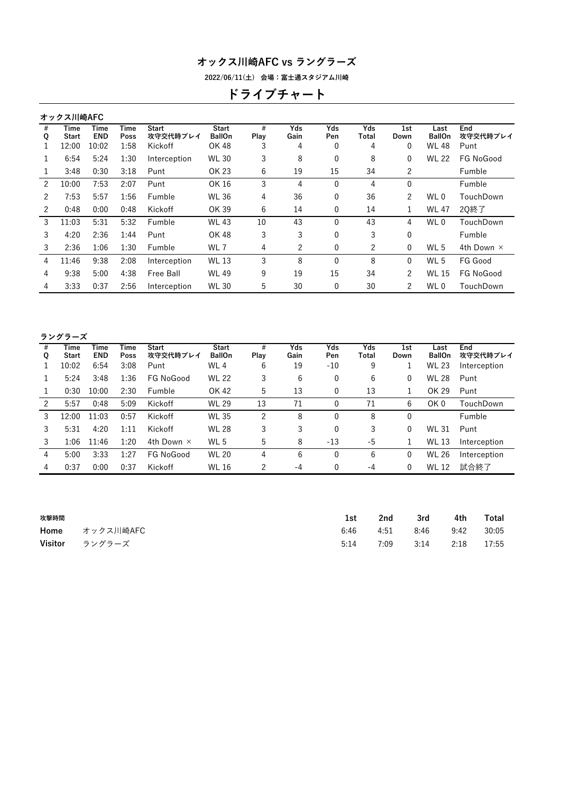**2022/06/11(土) 会場:富士通スタジアム川崎**

# **ドライブチャート**

|        | オックス川崎AFC            |                    |              |                          |                               |           |             |              |              |              |                       |                   |
|--------|----------------------|--------------------|--------------|--------------------------|-------------------------------|-----------|-------------|--------------|--------------|--------------|-----------------------|-------------------|
| #<br>Q | Time<br><b>Start</b> | Time<br><b>END</b> | Time<br>Poss | <b>Start</b><br>攻守交代時プレイ | <b>Start</b><br><b>BallOn</b> | #<br>Play | Yds<br>Gain | Yds<br>Pen   | Yds<br>Total | 1st<br>Down  | Last<br><b>BallOn</b> | End<br>攻守交代時プレイ   |
|        | 12:00                | 10:02              | 1:58         | Kickoff                  | OK 48                         | 3         | 4           | 0            | 4            | 0            | <b>WL 48</b>          | Punt              |
| 1      | 6:54                 | 5:24               | 1:30         | Interception             | <b>WL 30</b>                  | 3         | 8           | 0            | 8            | 0            | <b>WL 22</b>          | FG NoGood         |
|        | 3:48                 | 0:30               | 3:18         | Punt                     | OK 23                         | 6         | 19          | 15           | 34           | 2            |                       | Fumble            |
| 2      | 10:00                | 7:53               | 2:07         | Punt                     | OK 16                         | 3         | 4           | $\mathbf{0}$ | 4            | $\mathbf{0}$ |                       | Fumble            |
| 2      | 7:53                 | 5:57               | 1:56         | Fumble                   | <b>WL 36</b>                  | 4         | 36          | 0            | 36           | 2            | WL 0                  | TouchDown         |
| 2      | 0:48                 | 0:00               | 0:48         | Kickoff                  | OK 39                         | 6         | 14          | 0            | 14           | 1            | <b>WL 47</b>          | 20終了              |
| 3      | 11:03                | 5:31               | 5:32         | Fumble                   | <b>WL 43</b>                  | 10        | 43          | $\Omega$     | 43           | 4            | WL 0                  | TouchDown         |
| 3      | 4:20                 | 2:36               | 1:44         | Punt                     | OK 48                         | 3         | 3           | 0            | 3            | 0            |                       | Fumble            |
| 3      | 2:36                 | 1:06               | 1:30         | Fumble                   | WL 7                          | 4         | 2           | 0            | 2            | $\mathbf{0}$ | WL 5                  | 4th Down $\times$ |
| 4      | 11:46                | 9:38               | 2:08         | Interception             | <b>WL 13</b>                  | 3         | 8           | $\mathbf{0}$ | 8            | $\mathbf{0}$ | WL <sub>5</sub>       | FG Good           |
| 4      | 9:38                 | 5:00               | 4:38         | Free Ball                | <b>WL 49</b>                  | 9         | 19          | 15           | 34           | 2            | <b>WL 15</b>          | FG NoGood         |
| 4      | 3:33                 | 0:37               | 2:56         | Interception             | <b>WL 30</b>                  | 5         | 30          | 0            | 30           | 2            | WL 0                  | TouchDown         |
|        |                      |                    |              |                          |                               |           |             |              |              |              |                       |                   |

### **ラングラーズ**

| #<br>Q | Time<br>Start | Time<br><b>END</b> | Time<br>Poss | <b>Start</b><br>攻守交代時プレイ | <b>Start</b><br><b>BallOn</b> | #<br>Play | Yds<br>Gain | Yds<br>Pen | Yds<br>Total | 1st<br>Down  | Last<br><b>BallOn</b> | End<br>攻守交代時プレイ |
|--------|---------------|--------------------|--------------|--------------------------|-------------------------------|-----------|-------------|------------|--------------|--------------|-----------------------|-----------------|
|        | 10:02         | 6:54               | 3:08         | Punt                     | WL4                           | 6         | 19          | $-10$      | 9            |              | <b>WL 23</b>          | Interception    |
|        | 5:24          | 3:48               | 1:36         | FG NoGood                | <b>WL 22</b>                  | 3         | 6           | 0          | 6            | 0            | <b>WL 28</b>          | Punt            |
|        | 0:30          | 10:00              | 2:30         | Fumble                   | OK 42                         | 5         | 13          | 0          | 13           | 1            | OK 29                 | Punt            |
| 2      | 5:57          | 0:48               | 5:09         | Kickoff                  | <b>WL 29</b>                  | 13        | 71          | 0          | 71           | 6            | OK <sub>0</sub>       | TouchDown       |
| 3      | 12:00         | 11:03              | 0:57         | Kickoff                  | <b>WL 35</b>                  | 2         | 8           | 0          | 8            | $\mathbf 0$  |                       | Fumble          |
| 3      | 5:31          | 4:20               | 1:11         | Kickoff                  | <b>WL 28</b>                  | 3         | 3           | 0          | 3            | $\mathbf{0}$ | <b>WL 31</b>          | Punt            |
| 3      | 1:06          | 11:46              | 1:20         | 4th Down $\times$        | WL 5                          | 5         | 8           | $-13$      | $-5$         | 1            | <b>WL 13</b>          | Interception    |
| 4      | 5:00          | 3:33               | 1:27         | FG NoGood                | <b>WL 20</b>                  | 4         | 6           | 0          | 6            | $\mathbf{0}$ | <b>WL 26</b>          | Interception    |
| 4      | 0:37          | 0:00               | 0:37         | Kickoff                  | <b>WL 16</b>                  | 2         | $-4$        | 0          | $-4$         | $\mathbf{0}$ | <b>WL 12</b>          | 試合終了            |
|        |               |                    |              |                          |                               |           |             |            |              |              |                       |                 |

| 攻撃時間 |                | 1st  | 2nd  | 3rd  | 4th  | Total |
|------|----------------|------|------|------|------|-------|
|      | Home オックス川崎AFC | 6:46 | 4:51 | 8:46 | 9:42 | 30:05 |
|      | Visitor ラングラーズ | 5:14 | 7:09 | 3:14 | 2:18 | 17:55 |
|      |                |      |      |      |      |       |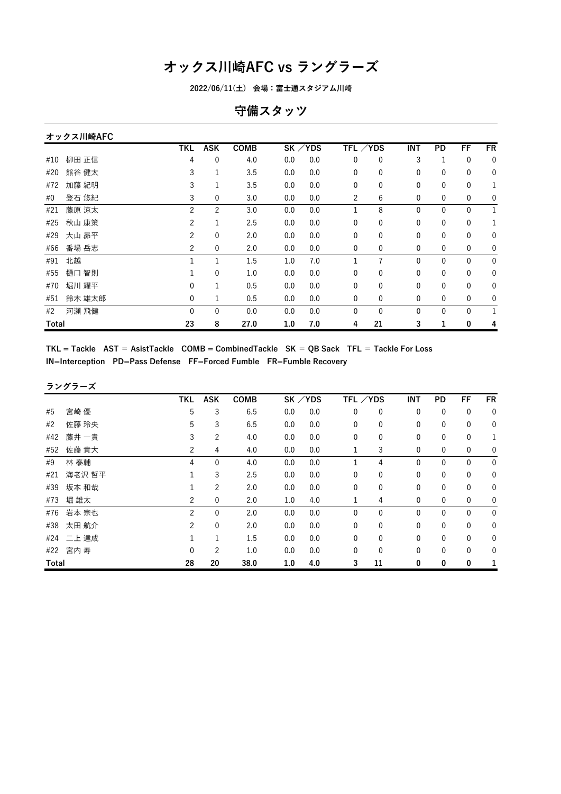**2022/06/11(土) 会場:富士通スタジアム川崎**

## **守備スタッツ**

|       | オックス川崎AFC |                |                |             |     |           |                |              |            |              |              |              |
|-------|-----------|----------------|----------------|-------------|-----|-----------|----------------|--------------|------------|--------------|--------------|--------------|
|       |           | TKL            | <b>ASK</b>     | <b>COMB</b> |     | $SK$ /YDS | TFL ∕YDS       |              | <b>INT</b> | PD           | FF           | <b>FR</b>    |
| #10   | 柳田 正信     | 4              | 0              | 4.0         | 0.0 | 0.0       | 0              | 0            | 3          | 1            | 0            | 0            |
| #20   | 熊谷 健太     | 3              | 1              | 3.5         | 0.0 | 0.0       | $\mathbf{0}$   | 0            | 0          | $\mathbf{0}$ | 0            | 0            |
| #72   | 加藤 紀明     | 3              | 1              | 3.5         | 0.0 | 0.0       | $\mathbf{0}$   | 0            | 0          | 0            | 0            | 1            |
| #0    | 登石 悠紀     | 3              | 0              | 3.0         | 0.0 | 0.0       | $\overline{c}$ | 6            | 0          | 0            | 0            | 0            |
| #21   | 藤原 涼太     | $\overline{2}$ | $\overline{c}$ | 3.0         | 0.0 | 0.0       | 1              | 8            | 0          | $\mathbf{0}$ | $\mathbf{0}$ | $\mathbf{1}$ |
| #25   | 秋山 康策     | 2              | 1              | 2.5         | 0.0 | 0.0       | $\mathbf{0}$   | $\mathbf{0}$ | 0          | 0            | $\mathbf 0$  | 1            |
| #29   | 大山 昴平     | 2              | 0              | 2.0         | 0.0 | 0.0       | 0              | 0            | 0          | $\mathbf 0$  | $\mathbf 0$  | 0            |
| #66   | 番場 岳志     | $\overline{c}$ | $\mathbf 0$    | 2.0         | 0.0 | 0.0       | 0              | 0            | 0          | 0            | 0            | 0            |
| #91   | 北越        | 1              | 1              | 1.5         | 1.0 | 7.0       | 1              | 7            | 0          | $\mathbf{0}$ | $\mathbf 0$  | 0            |
| #55   | 智則<br>樋口  |                | $\mathbf{0}$   | 1.0         | 0.0 | 0.0       | $\mathbf{0}$   | 0            | 0          | $\mathbf{0}$ | 0            | 0            |
| #70   | 堀川 耀平     | 0              | 1              | 0.5         | 0.0 | 0.0       | 0              | 0            | 0          | $\mathbf 0$  | 0            | 0            |
| #51   | 鈴木 雄太郎    | 0              | 1              | 0.5         | 0.0 | 0.0       | $\mathbf{0}$   | $\mathbf{0}$ | 0          | $\mathbf{0}$ | 0            | 0            |
| #2    | 河瀬 飛健     | 0              | $\mathbf{0}$   | 0.0         | 0.0 | 0.0       | $\Omega$       | $\mathbf{0}$ | 0          | $\mathbf{0}$ | $\mathbf{0}$ | 1            |
| Total |           | 23             | 8              | 27.0        | 1.0 | 7.0       | 4              | 21           | 3          | 1            | 0            | 4            |

 $TKL = Tackle$  AST = AsistTackle COMB = CombinedTackle SK = QB Sack TFL = Tackle For Loss **IN=Interception PD=Pass Defense FF=Forced Fumble FR=Fumble Recovery**

#### **ラングラーズ**

|       |          | TKL            | ASK            | <b>COMB</b> | SK / YDS |     | TFL /YDS     |              | INT          | PD           | FF           | <b>FR</b>        |
|-------|----------|----------------|----------------|-------------|----------|-----|--------------|--------------|--------------|--------------|--------------|------------------|
| #5    | 宮崎 優     | 5              | 3              | 6.5         | 0.0      | 0.0 | $\mathbf 0$  | $\mathbf 0$  | 0            | $\mathbf 0$  | $\mathbf 0$  | $\mathbf 0$      |
| #2    | 佐藤 玲央    | 5              | 3              | 6.5         | 0.0      | 0.0 | $\mathbf 0$  | $\mathbf{0}$ | $\mathbf{0}$ | $\mathbf 0$  | $\mathbf{0}$ | $\mathbf 0$      |
| #42   | 藤井 一貴    | 3              | $\overline{c}$ | 4.0         | 0.0      | 0.0 | $\mathbf 0$  | 0            | 0            | 0            | 0            | 1                |
| #52   | 佐藤 貴大    | 2              | 4              | 4.0         | 0.0      | 0.0 | 1            | 3            | 0            | 0            | $\mathbf 0$  | $\mathbf 0$      |
| #9    | 林 泰輔     | 4              | 0              | 4.0         | 0.0      | 0.0 |              | 4            | $\mathbf{0}$ | $\mathbf{0}$ | $\mathbf 0$  | $\mathbf 0$      |
| #21   | 海老沢 哲平   |                | 3              | 2.5         | 0.0      | 0.0 | $\mathbf 0$  | $\mathbf{0}$ | 0            | $\mathbf 0$  | $\mathbf 0$  | $\mathbf 0$      |
| #39   | 坂本 和哉    |                | $\overline{c}$ | 2.0         | 0.0      | 0.0 | 0            | 0            | 0            | 0            | 0            | 0                |
| #73   | 堀 雄太     | 2              | 0              | 2.0         | 1.0      | 4.0 |              | 4            | $\mathbf 0$  | 0            | $\mathbf 0$  | $\boldsymbol{0}$ |
|       | #76 岩本宗也 | 2              | $\mathbf 0$    | 2.0         | 0.0      | 0.0 | $\mathbf 0$  | $\mathbf{0}$ | 0            | 0            | $\mathbf 0$  | $\mathbf 0$      |
| #38   | 太田 航介    | $\overline{c}$ | $\mathbf 0$    | 2.0         | 0.0      | 0.0 | $\mathbf 0$  | $\mathbf{0}$ | $\mathbf{0}$ | $\mathbf{0}$ | $\mathbf{0}$ | $\mathbf 0$      |
| #24   | 二上 達成    |                | 1              | 1.5         | 0.0      | 0.0 | $\mathbf{0}$ | $\Omega$     | $\mathbf{0}$ | $\mathbf{0}$ | $\mathbf{0}$ | $\mathbf 0$      |
|       | #22 宮内寿  | 0              | $\overline{2}$ | 1.0         | 0.0      | 0.0 | 0            | 0            | 0            | 0            | 0            | $\mathbf 0$      |
| Total |          | 28             | 20             | 38.0        | 1.0      | 4.0 | 3            | 11           | 0            | 0            | 0            |                  |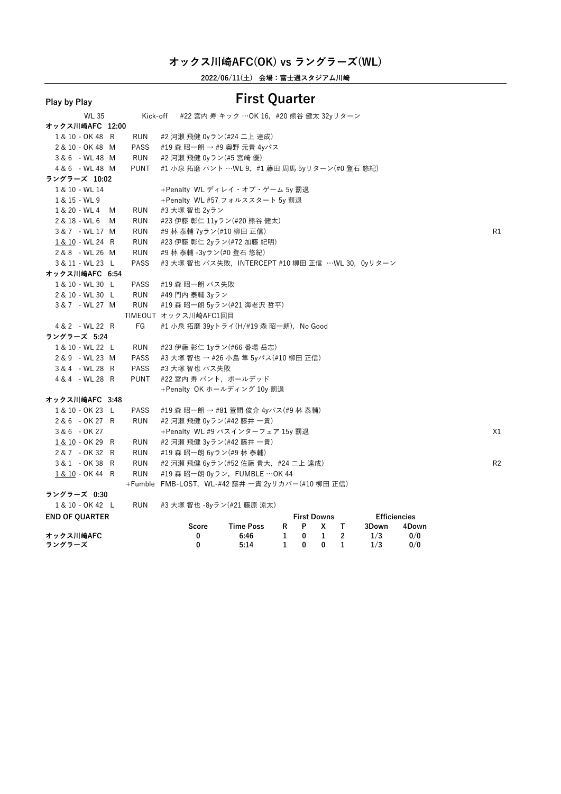**2022/06/11(土) 会場:富士通スタジアム川崎**

#### **Play by Play**<br>WL 35 Kick-off #22 宮内 寿 キック …OK 16, #20 熊谷 健z WL <sup>35</sup> Kick-off #22 宮内 <sup>寿</sup> キック …OK 16,#20 熊谷 健太 32yリターン **オックス川崎AFC 12:00** 1 & 10 - OK 48 R RUN #2 河瀬 飛健 0yラン(#24 二上 達成)<br>2 & 10 - OK 48 M PASS #19 森 昭一朗 → #9 奥野 元貴 4yパ 2 & 10 - OK 48 M PASS #19 森 昭一朗 → #9 奥野 元貴 4yパス<br>3&6 - WL 48 M RUN #2 河瀬 飛健 0yラン(#5 宮崎 優) 3 & 6 - WL 48 M RUN #2 河瀬 飛健 0yラン(#5 宮崎 優)<br>4 & 6 - WL 48 M PUNT #1 小泉 拓磨 パント …WL 9, #1 PUNT #1 小泉 拓磨 パント …WL 9, #1 藤田 周馬 5yリターン(#0 登石 悠紀) **ラングラーズ 10:02** <sup>1</sup> & <sup>10</sup> - WL <sup>14</sup> +Penalty WL ディレイ・オブ・ゲーム 5y 罰退 1 & 15 - WL 9 +Penalty WL #57 フォルススタート 5y 罰退<br>1 & 20 - WL 4 M RUN #3 大塚 智也 2yラン 1 & 20 - WL 4 M RUN #3 大塚 智也 2yラン<br>2 & 18 - WL 6 M RUN #23 伊藤 彰仁 11yラ 2 & 18 - WL 6 M RUN #23 伊藤 彰仁 11yラン(#20 熊谷 健太)<br>3 & 7 - WL 17 M RUN #9 林 泰輔 7yラン(#10 柳田 正信) 3 & 7 - WL 17 M RUN #9 林 泰輔 7yラン(#10 柳田 正信)<br><u>1 & 10</u> - WL 24 R RUN #23 伊藤 彰仁 2yラン(#72 加藤 紀明) 1 & 10 - WL 24 R RUN #23 伊藤 彰仁 2yラン(#72 加藤 紀明)<br>2 & 8 - WL 26 M RUN #9 林 泰輔 -3yラン(#0 登石 悠紀) 2 & 8 - WL 26 M RUN #9 林 泰輔 -3yラン(#0 登石 悠紀)<br>3 & 11 - い! 23 I PASS #3 天塚 恕也 パス生敗 INTERCI \_3 & 11 - WL 23 L PASS #3 大塚 智也 パス失敗,INTERCEPT #10 柳田 正信 …WL 30, 0yリターン<br>►∾ ク 7 Ⅲ 峰AFC 6·54 **オックス川崎AFC 6:54** 1 & 10 - WL 30 L PASS #19 森 昭一朗 パス失敗<br>2 & 10 - WL 30 L RUN #49 門内 泰輔 3vラン 2 & 10 - WL 30 L RUN #49 門内 泰輔 3yラン<br>3 & 7 - WL 27 M RUN #19 森 昭一朗 5yラン #19 森 昭一朗 5yラン(#21 海老沢 哲平) TIMEOUT オックス川崎AFC1回目 4 & 2 - WL 22 R FG #1 小泉 拓磨 39vトライ(H/#19 森 昭一朗), No Good **ラングラーズ 5:24** 1 & 10 - WL 22 L RUN #23 伊藤 彰仁 1yラン(#66 番場 岳志)<br>2 & 9 - WL 23 M PASS #3 大塚 智也 → #26 小島 隼 5yパス(# 2 & 9 - WL 23 M PASS #3 大塚 智也 → #26 小島 隼 5yパス(#10 柳田 正信)<br>3 & 4 - WL 28 R PASS #3 大塚 智也 パス失敗 3 & 4 - WL 28 R PASS #3 大塚 智也 パス失敗<br>4 & 4 - WL 28 R PUNT #22 宮内 寿 パント. ォ #22 宮内 寿 パント, ボールデッド +Penalty OK ホールディング 10y 罰退 **オックス川崎AFC 3:48** 1 & 10 - OK 23 L PASS #19 森 昭一朗 → #81 萱間 俊介 4yパス(#9 林 泰輔)<br>2 & 6 - OK 27 R RUN #2 河瀬 飛健 0vラン(#42 藤井 一青) 2 & 6 - OK 27 R RUN #2 河瀬 飛健 0yラン(#42 藤井 一貴)<br>3 & 6 - OK 27 + Penalty WI #9 パスインターフェ 3 & 6 - OK 27 +Penalty WL #9 パスインターフェア 15y 罰退 X1<br>1&10-OK 29 R RUN #2 河瀬 飛健 3yラン(#42 藤井 一貴) 1 & 10 - OK 29 R RUN #2 河瀬 飛健 3yラン(#42 藤井 一貴)<br>2 & 7 - OK 32 R RUN #19 森 昭一朗 6yラン(#9 林 泰輔) 2 & 7 - OK 32 R RUN #19 森 昭一朗 6yラン(#9 林 泰輔)<br>3 & 1 - OK 38 R RUN #2 河瀬 飛健 6yラン(#52 佐藤 貴大 3 & 1 - OK 38 R RUN #2 河瀬 飛健 6yラン(#52 佐藤 貴大,#24 二上 達成) R2<br>1&10-OK 44 R RUN #19 森 昭一朗 0yラン,FUMBLE ⋯OK 44 \_ <u>1 & 10</u> - OK 44 R RUN #19 森 昭一朗 0yラン,FUMBLE ⋯OK 44<br>+Fumble FMB-LOST,WL-#42 藤井 一貴 2yリカバー(#10 柳田 正信)<br>**፣ ングラーズ 0·30 ラングラーズ 0:30** 1 & 10 - OK 42 L RUN #3 大塚 智也 -8yラン(#21 藤原 涼太)<br>**END OF OUARTER END OF QUARTER First Downs Efficiencies Score Time Poss <sup>R</sup> <sup>P</sup> <sup>X</sup> <sup>T</sup> 3Down 4Down オックス川崎AFC <sup>0</sup> 6:46 <sup>1</sup> <sup>0</sup> <sup>1</sup> <sup>2</sup> 1/3 0/0 ラングラーズ <sup>0</sup> 5:14 <sup>1</sup> <sup>0</sup> <sup>0</sup> <sup>1</sup> 1/3 0/0**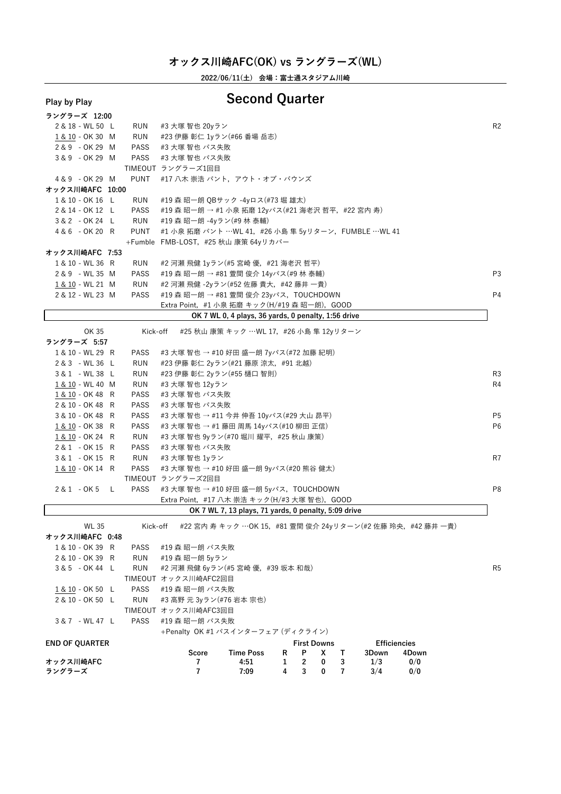**2022/06/11(土) 会場:富士通スタジアム川崎**

# **Play by Play Second Quarter**

| ラングラーズ 12:00     |          |                                                     |                |
|------------------|----------|-----------------------------------------------------|----------------|
| 2 & 18 - WL 50 L | RUN      | #3 大塚 智也 20yラン                                      | R <sub>2</sub> |
| 1 & 10 - OK 30 M | RUN      | #23 伊藤 彰仁 1yラン(#66 番場 岳志)                           |                |
| 2 & 9 - OK 29 M  | PASS     | #3 大塚 智也 パス失敗                                       |                |
| 3&9 - OK 29 M    | PASS     | #3 大塚 智也 パス失敗                                       |                |
|                  |          | TIMEOUT ラングラーズ1回目                                   |                |
| 4 & 9 - OK 29 M  | PUNT     | #17 八木 崇浩 パント,アウト・オブ・バウンズ                           |                |
| オックス川崎AFC 10:00  |          |                                                     |                |
| 1 & 10 - OK 16 L | RUN      | #19 森 昭一朗 OBサック -4yロス(#73 堀 雄太)                     |                |
| 2 & 14 - OK 12 L | PASS     | #19 森 昭一朗 → #1 小泉 拓磨 12yパス(#21 海老沢 哲平,#22 宮内 寿)     |                |
| 3 & 2 - OK 24 L  | RUN      | #19 森 昭一朗 -4yラン(#9 林 泰輔)                            |                |
| 4 & 6 - OK 20 R  | PUNT     | #1 小泉 拓磨 パント …WL 41,#26 小島 隼 5yリターン,FUMBLE …WL 41   |                |
|                  |          | +Fumble FMB-LOST, #25 秋山 康策 64yリカバー                 |                |
| オックス川崎AFC 7:53   |          |                                                     |                |
| 1 & 10 - WL 36 R | RUN      | #2 河瀬 飛健 1yラン(#5 宮崎 優,#21 海老沢 哲平)                   |                |
| 2 & 9 - WL 35 M  | PASS     | #19 森 昭一朗 → #81 萱間 俊介 14yパス(#9 林 泰輔)                | P3             |
| 1 & 10 - WL 21 M | RUN      | #2 河瀬 飛健 -2yラン(#52 佐藤 貴大,#42 藤井 一貴)                 |                |
| 2 & 12 - WL 23 M | PASS     | #19 森 昭一朗 → #81 萱間 俊介 23yパス,TOUCHDOWN               | P <sub>4</sub> |
|                  |          | Extra Point, #1 小泉 拓磨 キック(H/#19 森 昭一朗),GOOD         |                |
|                  |          | OK 7 WL 0, 4 plays, 36 yards, 0 penalty, 1:56 drive |                |
| OK 35            | Kick-off | - #25 秋山 康策 キック …WL 17,#26 小島 隼 12yリターン             |                |
| ラングラーズ 5:57      |          |                                                     |                |
| 1 0 10 1111 00 D |          | $\Box$                                              |                |

| , , , , , , , , , , |             |                                                  |    |
|---------------------|-------------|--------------------------------------------------|----|
| 1 & 10 - WL 29 R    | <b>PASS</b> | #3 大塚 智也 → #10 好田 盛一朗 7yパス(#72 加藤 紀明)            |    |
| 2 & 3 - WL 36 L     | RUN         | #23 伊藤 彰仁 2yラン(#21 藤原 涼太,#91 北越)                 |    |
| 3&1 - WL38 L        | RUN         | #23 伊藤 彰仁 2yラン(#55 樋口 智則)                        | R3 |
| 1 & 10 - WL 40 M    | RUN         | #3 大塚 智也 12vラン                                   | R4 |
| 1 & 10 - OK 48 R    | <b>PASS</b> | #3 大塚 智也 パス失敗                                    |    |
| 2 & 10 - OK 48 R    | <b>PASS</b> | #3 大塚 智也 パス失敗                                    |    |
| 3 & 10 - OK 48 R    | <b>PASS</b> | #3 大塚 智也 → #11 今井 伸吾 10yパス(#29 大山 昴平)            | P5 |
| 1 & 10 - OK 38 R    | <b>PASS</b> | #3 大塚 智也 → #1 藤田 周馬 14yパス(#10 柳田 正信)             | Pθ |
| 1 & 10 - OK 24 R    | RUN         | #3 大塚 智也 9yラン(#70 堀川 耀平,#25 秋山 康策)               |    |
| 2& 1 - OK 15 R      | <b>PASS</b> | #3 大塚 智也 パス失敗                                    |    |
| 3&1 - OK 15 R       | RUN         | #3 大塚 智也 1vラン                                    | R7 |
| 1 & 10 - OK 14 R    | PASS        | #3 大塚 智也 → #10 好田 盛一朗 9yパス(#20 熊谷 健太)            |    |
|                     |             | TIMEOUT ラングラーズ2回目                                |    |
| 2&1 - OK5 L         | PASS        | #3 大塚 智也 → #10 好田 盛一朗 5yパス, TOUCHDOWN            | P٤ |
|                     |             | Extra Point, #17 八木 崇浩 キック(H/#3 大塚 智也), GOOD     |    |
|                     |             | OK 7 WL 7 13 plays 71 vards 0 panalty 5:00 drive |    |

## **OK <sup>7</sup> WL 7, <sup>13</sup> plays, <sup>71</sup> yards, <sup>0</sup> penalty, 5:09 drive**

WL 35 Kick-off #22 宮内 寿 キック …OK 15, #81 萱間 俊介 24yリターン(#2 佐藤 玲央, #42 藤井 一貴)

**オックス川崎AFC 0:48**

| 1 & 10 - OK 39 R | PASS | #19 森 昭一朗 パス失敗                    |    |
|------------------|------|-----------------------------------|----|
| 2 & 10 - OK 39 R | RUN  | #19 森 昭一朗 5vラン                    |    |
| 3&5 - OK 44 L    | RUN  | #2 河瀬 飛健 6yラン(#5 宮崎 優,#39 坂本 和哉)  | R5 |
|                  |      | TIMEOUT オックス川崎AFC2回目              |    |
| 1 & 10 - OK 50 L |      | - PASS - #19 森 昭一朗 パス失敗           |    |
| 2 & 10 - OK 50 L | RUN  | #3 高野 元 3yラン(#76 岩本 宗也)           |    |
|                  |      | TIMEOUT オックス川崎AFC3回目              |    |
| 3&7 - WL47 L     |      | - PASS - #19 森 昭一朗 パス失敗           |    |
|                  |      | +Penalty AK #1 パフインターフェア (ディクライン) |    |

+Penalty OK #1 パスインターフェア (ディクライン)

| <b>END OF OUARTER</b> |       |                  |  | <b>First Downs</b> |       | <b>Efficiencies</b> |
|-----------------------|-------|------------------|--|--------------------|-------|---------------------|
|                       | Score | <b>Time Poss</b> |  | RPX T              | 3Down | 4Down               |
| オックス川崎AFC             |       | 4:51             |  | 1 2 0 3            | 1/3   | 0/0                 |
| ラングラーズ                |       | 7:09             |  | 4 3 0 7            | 3/4   | 0/0                 |
|                       |       |                  |  |                    |       |                     |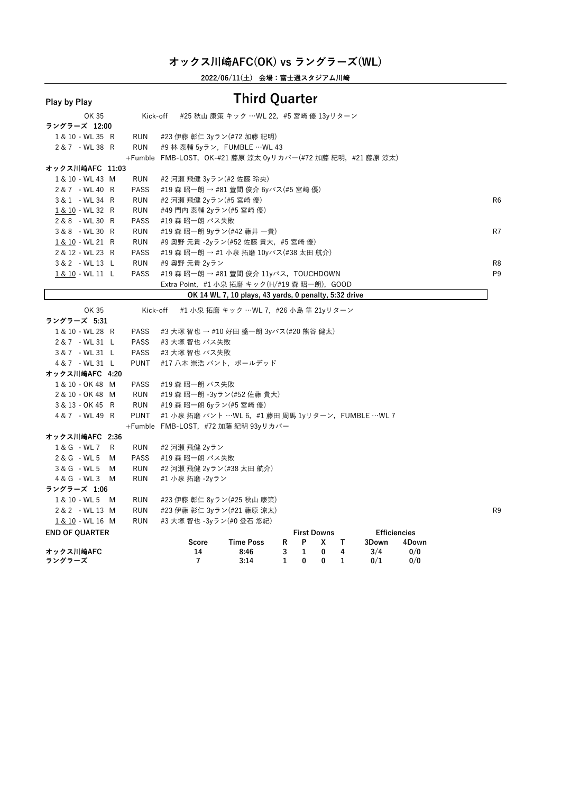**2022/06/11(土) 会場:富士通スタジアム川崎**

| i iay vy i iay        |             |                                                                  |                |
|-----------------------|-------------|------------------------------------------------------------------|----------------|
| OK 35                 | Kick-off    | #25 秋山 康策 キック …WL 22,#5 宮崎 優 13yリターン                             |                |
| ラングラーズ 12:00          |             |                                                                  |                |
| 1 & 10 - WL 35 R      | <b>RUN</b>  | #23 伊藤 彰仁 3yラン(#72 加藤 紀明)                                        |                |
| 2 & 7 - WL 38 R       | <b>RUN</b>  | #9 林 泰輔 5yラン, FUMBLE …WL 43                                      |                |
|                       |             | +Fumble FMB-LOST, OK-#21 藤原 涼太 0yリカバー(#72 加藤 紀明, #21 藤原 涼太)      |                |
| オックス川崎AFC 11:03       |             |                                                                  |                |
| 1 & 10 - WL 43 M      | RUN         | #2 河瀬 飛健 3yラン(#2 佐藤 玲央)                                          |                |
| 2 & 7 - WL 40 R       | <b>PASS</b> | #19 森 昭一朗 → #81 萱間 俊介 6yパス(#5 宮崎 優)                              |                |
| 3 & 1 - WL 34 R       | <b>RUN</b>  | #2 河瀬 飛健 2yラン(#5 宮崎 優)                                           | R <sub>6</sub> |
| 1 & 10 - WL 32 R      | RUN         | #49 門内 泰輔 2yラン(#5 宮崎 優)                                          |                |
| 2 & 8 - WL 30 R       | <b>PASS</b> | #19 森 昭一朗 パス失敗                                                   |                |
| 3 & 8 - WL 30 R       | <b>RUN</b>  | #19 森 昭一朗 9yラン(#42 藤井 一貴)                                        | R7             |
| 1 & 10 - WL 21 R      | RUN         | #9 奥野 元貴 -2yラン(#52 佐藤 貴大, #5 宮崎 優)                               |                |
| 2 & 12 - WL 23 R      | <b>PASS</b> | #19 森 昭一朗 → #1 小泉 拓磨 10yパス(#38 太田 航介)                            |                |
| 3 & 2 - WL 13 L       | RUN         | #9 奥野 元貴 2yラン                                                    | R <sub>8</sub> |
| 1 & 10 - WL 11 L      | <b>PASS</b> | #19 森 昭一朗 → #81 萱間 俊介 11yパス,TOUCHDOWN                            | P <sub>9</sub> |
|                       |             | Extra Point,#1 小泉 拓磨 キック(H/#19 森 昭一朗),GOOD                       |                |
|                       |             | OK 14 WL 7, 10 plays, 43 yards, 0 penalty, 5:32 drive            |                |
| OK 35                 | Kick-off    | #1 小泉 拓磨 キック …WL 7,#26 小島 隼 21yリターン                              |                |
| ラングラーズ 5:31           |             |                                                                  |                |
| 1 & 10 - WL 28 R      | <b>PASS</b> | #3 大塚 智也 → #10 好田 盛一朗 3yパス(#20 熊谷 健太)                            |                |
| 2 & 7 - WL 31 L       | <b>PASS</b> | #3 大塚 智也 パス失敗                                                    |                |
| 3&7 - WL 31 L         | <b>PASS</b> | #3 大塚 智也 パス失敗                                                    |                |
| 4 & 7 - WL 31 L       | <b>PUNT</b> | #17 八木 崇浩 パント, ボールデッド                                            |                |
| オックス川崎AFC 4:20        |             |                                                                  |                |
| 1 & 10 - OK 48 M      | PASS        | #19 森 昭一朗 パス失敗                                                   |                |
| 2 & 10 - OK 48 M      | RUN         | #19 森 昭一朗 -3yラン(#52 佐藤 貴大)                                       |                |
| 3 & 13 - OK 45 R      | <b>RUN</b>  | #19 森昭一朗 6yラン(#5 宮崎優)                                            |                |
| 4& 7 - WL 49 R        | <b>PUNT</b> | #1 小泉 拓磨 パント …WL 6,#1 藤田 周馬 1yリターン,FUMBLE …WL 7                  |                |
|                       |             | +Fumble FMB-LOST, #72 加藤 紀明 93yリカバー                              |                |
| オックス川崎AFC 2:36        |             |                                                                  |                |
| 1 & G - WL 7<br>R     | RUN         | #2 河瀬 飛健 2yラン                                                    |                |
| 2 & G - WL 5<br>M     | <b>PASS</b> | #19 森 昭一朗 パス失敗                                                   |                |
| 3 & G - WL 5<br>M     | <b>RUN</b>  | #2 河瀬 飛健 2yラン(#38 太田 航介)                                         |                |
| 4 & G - WL 3<br>M     | <b>RUN</b>  | #1 小泉 拓磨 -2yラン                                                   |                |
| ラングラーズ 1:06           |             |                                                                  |                |
| 1 & 10 - WL 5 M       | RUN         | #23 伊藤 彰仁 8yラン(#25 秋山 康策)                                        |                |
| 2 & 2 - WL 13 M       | <b>RUN</b>  | #23 伊藤 彰仁 3yラン(#21 藤原 涼太)                                        | R <sub>9</sub> |
| 1 & 10 - WL 16 M      | <b>RUN</b>  | #3 大塚 智也 -3yラン(#0 登石 悠紀)                                         |                |
| <b>END OF QUARTER</b> |             | <b>First Downs</b><br><b>Efficiencies</b>                        |                |
|                       |             | <b>Time Poss</b><br>R<br>P<br>3Down<br>Score<br>x<br>T.<br>4Down |                |
| オックス川崎AFC             |             | 3/4<br>0/0<br>14<br>8:46<br>3<br>1<br>0<br>4                     |                |
| ラングラーズ                |             | $\overline{7}$<br>3:14<br>0<br>0/1<br>1<br>0<br>1<br>0/0         |                |
|                       |             |                                                                  |                |

### **Play by Play Third Quarter**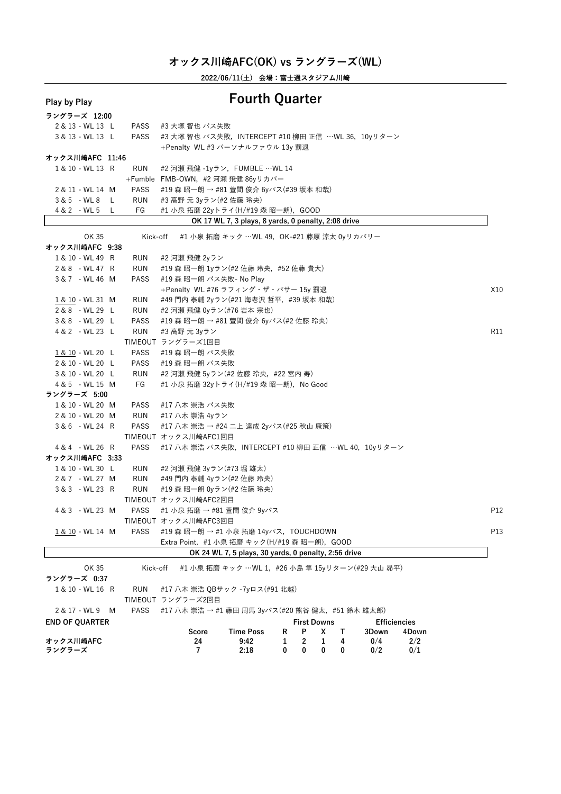**2022/06/11(土) 会場:富士通スタジアム川崎**

# **Play by Play Fourth Quarter**

| ラングラーズ 12:00                      |             |                                                                                                                |     |
|-----------------------------------|-------------|----------------------------------------------------------------------------------------------------------------|-----|
| 2 & 13 - WL 13 L                  | PASS        | #3 大塚 智也 パス失敗                                                                                                  |     |
| 3 & 13 - WL 13 L                  | <b>PASS</b> | #3 大塚 智也 パス失敗, INTERCEPT #10 柳田 正信 …WL 36, 10yリターン                                                             |     |
|                                   |             | +Penalty WL #3 パーソナルファウル 13y 罰退                                                                                |     |
| オックス川崎AFC 11:46                   |             |                                                                                                                |     |
| 1 & 10 - WL 13 R                  | RUN         | #2 河瀬 飛健 -1yラン, FUMBLE …WL 14                                                                                  |     |
|                                   |             | +Fumble FMB-OWN, #2 河瀬 飛健 86yリカバー                                                                              |     |
| 2 & 11 - WL 14 M                  | PASS        | - #19 森 昭一朗 → #81 萱間 俊介 6yパス(#39 坂本 和哉)                                                                        |     |
| 3&5 - WL8 L                       | RUN         | #3 高野 元 3yラン(#2 佐藤 玲央)                                                                                         |     |
| 4 & 2 - WL 5<br>L.                | FG          | #1 小泉 拓磨 22yトライ(H/#19 森 昭一朗), GOOD                                                                             |     |
|                                   |             | OK 17 WL 7, 3 plays, 8 yards, 0 penalty, 2:08 drive                                                            |     |
| OK 35                             | Kick-off    | #1 小泉 拓磨 キック …WL 49,OK-#21 藤原 涼太 0yリカバリー                                                                       |     |
| オックス川崎AFC 9:38                    |             |                                                                                                                |     |
| 1 & 10 - WL 49 R                  | RUN         | #2 河瀬 飛健 2yラン                                                                                                  |     |
| 2 & 8 - WL 47 R                   | RUN         | #19 森 昭一朗 1yラン(#2 佐藤 玲央,#52 佐藤 貴大)                                                                             |     |
| 3 & 7 - WL 46 M                   | <b>PASS</b> | #19 森 昭一朗 パス失敗- No Play                                                                                        |     |
|                                   |             | +Penalty WL #76 ラフィング・ザ・パサー 15y 罰退                                                                             | X10 |
| 1 & 10 - WL 31 M                  | RUN         | #49 門内 泰輔 2yラン(#21 海老沢 哲平,#39 坂本 和哉)                                                                           |     |
| 2 & 8 - WL 29 L                   | RUN         | #2 河瀬 飛健 0yラン(#76 岩本 宗也)                                                                                       |     |
| 3 & 8 - WL 29 L                   | <b>PASS</b> | #19 森 昭一朗 → #81 萱間 俊介 6yパス(#2 佐藤 玲央)                                                                           |     |
| 4 & 2 - WL 23 L                   | <b>RUN</b>  | #3 高野 元 3yラン                                                                                                   | R11 |
|                                   |             | TIMEOUT ラングラーズ1回目                                                                                              |     |
| 1 & 10 - WL 20 L                  | PASS        | #19 森 昭一朗 パス失敗                                                                                                 |     |
| 2 & 10 - WL 20 L                  | <b>PASS</b> | #19 森 昭一朗 パス失敗                                                                                                 |     |
| 3 & 10 - WL 20 L                  | RUN         | #2 河瀬 飛健 5yラン(#2 佐藤 玲央, #22 宮内 寿)                                                                              |     |
| 4 & 5 - WL 15 M                   | FG          | #1 小泉 拓磨 32yトライ(H/#19 森 昭一朗), No Good                                                                          |     |
| ラングラーズ 5:00                       |             |                                                                                                                |     |
| 1 & 10 - WL 20 M                  | PASS        | #17 八木 崇浩 パス失敗                                                                                                 |     |
| 2 & 10 - WL 20 M                  | RUN         | #17 八木 崇浩 4yラン                                                                                                 |     |
| 3 & 6 - WL 24 R                   | PASS        | #17 八木 崇浩 → #24 二上 達成 2yパス(#25 秋山 康策)                                                                          |     |
|                                   |             | TIMEOUT オックス川崎AFC1回目<br>#17 八木 崇浩 パス失敗,INTERCEPT #10 柳田 正信 …WL 40,10yリターン                                      |     |
| 4 & 4 - WL 26 R<br>オックス川崎AFC 3:33 | PASS        |                                                                                                                |     |
| 1 & 10 - WL 30 L                  | RUN         | #2 河瀬 飛健 3yラン(#73 堀 雄太)                                                                                        |     |
| 2 & 7 - WL 27 M                   | RUN         | #49 門内 泰輔 4yラン(#2 佐藤 玲央)                                                                                       |     |
| 3 & 3 - WL 23 R                   | RUN         | #19 森 昭一朗 0yラン(#2 佐藤 玲央)                                                                                       |     |
|                                   |             | TIMEOUT オックス川崎AFC2回目                                                                                           |     |
| 4 & 3 - WL 23 M                   | PASS        | — #1 小泉 拓磨 → #81 萱間 俊介 9yパス                                                                                    | P12 |
|                                   |             | TIMEOUT オックス川崎AFC3回目                                                                                           |     |
| 1 & 10 - WL 14 M                  |             | PASS #19 森 昭一朗 → #1 小泉 拓磨 14yパス,TOUCHDOWN                                                                      | P13 |
|                                   |             | Extra Point, #1 小泉 拓磨 キック(H/#19 森 昭一朗), GOOD                                                                   |     |
|                                   |             | OK 24 WL 7, 5 plays, 30 yards, 0 penalty, 2:56 drive                                                           |     |
|                                   |             |                                                                                                                |     |
| OK 35                             | Kick-off    | #1 小泉 拓磨 キック …WL 1,#26 小島 隼 15yリターン(#29 大山 昴平)                                                                 |     |
| ラングラーズ 0:37                       |             |                                                                                                                |     |
| 1 & 10 - WL 16 R                  | <b>RUN</b>  | #17 八木 崇浩 QBサック -7yロス(#91 北越)                                                                                  |     |
|                                   |             | TIMEOUT ラングラーズ2回目                                                                                              |     |
| 2 & 17 - WL 9<br>M                | <b>PASS</b> | #17 八木 崇浩 → #1 藤田 周馬 3yパス(#20 熊谷 健太, #51 鈴木 雄太郎)                                                               |     |
| <b>END OF QUARTER</b>             |             | <b>First Downs</b><br><b>Efficiencies</b><br><b>Time Poss</b><br><b>Score</b><br>P<br>x<br>т<br>3Down<br>4Down |     |
| オックス川崎AFC                         |             | R<br>0/4<br>2/2<br>24<br>9:42<br>1<br>2<br>1<br>4                                                              |     |
| ラングラーズ                            |             | 7<br>0<br>0<br>0/2<br>0/1<br>2:18<br>0<br>0                                                                    |     |
|                                   |             |                                                                                                                |     |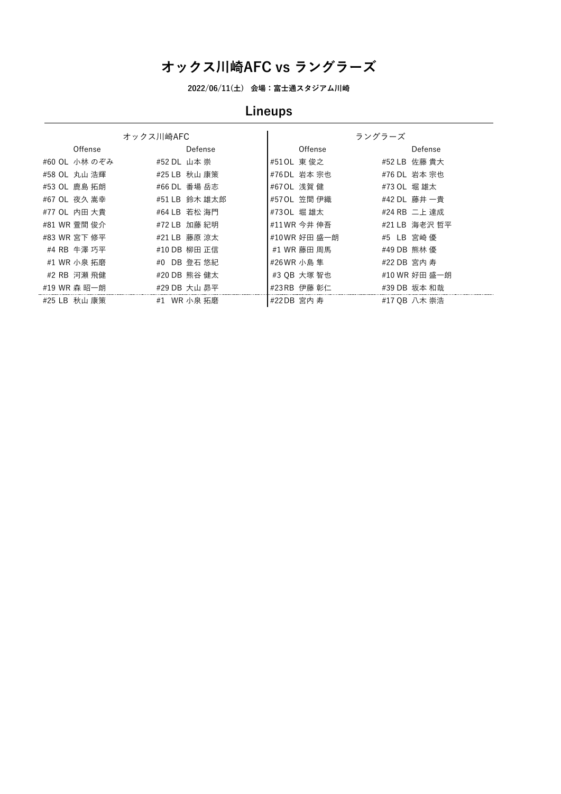**2022/06/11(土) 会場:富士通スタジアム川崎**

# **Lineups**

|               | オックス川崎AFC     |              | ラングラーズ        |
|---------------|---------------|--------------|---------------|
| Offense       | Defense       | Offense      | Defense       |
| #60 OL 小林 のぞみ | #52 DL 山本 崇   | #510L 東俊之    | #52 LB 佐藤 貴大  |
| #58 OL 丸山 浩輝  | #25 LB 秋山 康策  | #76DL 岩本 宗也  | #76 DL 岩本 宗也  |
| #53 OL 鹿島 拓朗  | #66 DL 番場 岳志  | #670L 浅賀健    | #73 OL 堀雄太    |
| #67 OL 夜久 嵩幸  | #51 LB 鈴木 雄太郎 | #570L 笠間 伊織  | #42 DL 藤井 一貴  |
| #77 OL 内田 大貴  | #64 LB 若松 海門  | #730L 堀雄太    | #24 RB 二上 達成  |
| #81 WR 萱間 俊介  | #72 LB 加藤 紀明  | #11 WR 今井 伸吾 | #21 LB 海老沢 哲平 |
| #83 WR 宮下 修平  | #21 LB 藤原 涼太  | #10WR 好田 盛一朗 | #5 LB 宮崎 優    |
| #4 RB 牛澤 巧平   | #10 DB 柳田 正信  | #1 WR 藤田 周馬  | #49 DB 熊林 優   |
| #1 WR 小泉 拓磨   | #0 DB 登石 悠紀   | #26 WR 小島 隼  | #22 DB 宮内 寿   |
| #2 RB 河瀬 飛健   | #20 DB 熊谷 健太  | #3 OB 大塚 智也  | #10 WR 好田 盛一朗 |
| #19 WR 森 昭一朗  | #29 DB 大山 昴平  | #23 RB 伊藤 彰仁 | #39 DB 坂本 和哉  |
| #25 LB 秋山 康策  | #1 WR 小泉 拓磨   | #22DB 宮内 寿   | #17 QB 八木 崇浩  |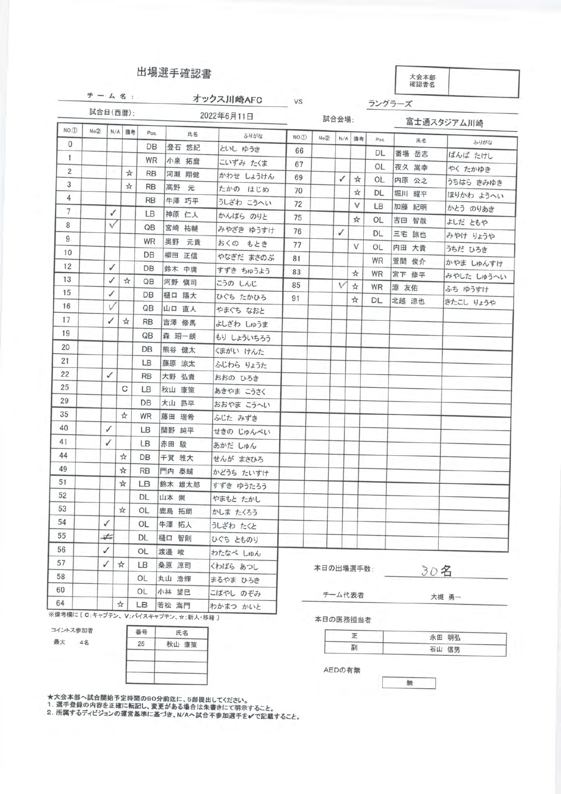|                |       |          |    |           | 出場選手確認書  |            |                      |           |        |        |           | 大会本部<br>確認者名 |                      |
|----------------|-------|----------|----|-----------|----------|------------|----------------------|-----------|--------|--------|-----------|--------------|----------------------|
|                |       |          |    |           |          | オックス川崎AFC  | <b>VS</b>            |           |        |        |           | ラングラーズ       |                      |
|                |       | 試合日(西暦): |    |           |          | 2022年6月11日 |                      |           | 試合会場:  |        |           |              | 富士通スタジアム川崎           |
| $NO.$ $(1)$    | No(2) | N/A      | 備考 | Pos.      | 氏名       | ふりがな       | $NO.$ <sub>(1)</sub> | No(2)     | N/A    | 備考     | Pos.      | 氏名           |                      |
| $\mathbf{0}$   |       |          |    | DB        | 登石 悠紀    | といし ゆうき    | 66                   |           |        |        | DL        | 番場 岳志        | ふりがな<br>ばんば たけし      |
| 1              |       |          |    | <b>WR</b> | 小泉 拓麿    | こいずみ たくま   | 67                   |           |        |        | OL        | 夜久 嵩幸        |                      |
| $\overline{2}$ |       |          | ☆  | <b>RB</b> | 河瀬 翔健    | かわせ しょうけん  | 69                   |           | ✓      | ☆      | OL        | 内原 公之        | やく たかゆき<br>うちはら きみゆき |
| 3              |       |          | ☆  | <b>RB</b> | 高野<br>元  | たかの はじめ    | 70                   |           |        | ☆      | DL        | 堀川 耀平        | ほりかわ ようへい            |
| 4              |       |          |    | <b>RB</b> | 牛澤 巧平    | うしざわ こうへい  | 72                   |           |        | V      | LB        | 加藤 紀明        | かとう のりあき             |
| $\overline{7}$ |       | ✓        |    | LВ        | 神原 仁人    | かんばら のりと   | 75                   |           |        | ☆      | OL        | 吉田 智哉        |                      |
| 8              |       | V        |    | QB        | 宮崎 祐輔    | みやざき ゆうすけ  | 76                   |           | ✓      |        | DL        | 三宅 諒也        | よしだ ともや              |
| 9              |       |          |    | WR        | 奥野<br>元貴 | おくの もとき    | 77                   |           |        | V      | OL        | 内田 大貴        | みやけ りょうや             |
| 10             |       |          |    | DB        | 柳田 正信    | やなぎだ まさのぶ  | 81                   |           |        |        | <b>WR</b> | 萱間 俊介        | うちだ ひろき              |
| 12             |       | ✓        |    | DB        | 鈴木 中庸    | すずき ちゅうよう  | 83                   |           |        | *      | WR        | 宮下 修平        | かやま しゅんすけ            |
| 13             |       | ✓        | ☆  | QB        | 河野 慎司    | こうの しんじ    | 85                   |           | $\vee$ | ☆      | WR        | 淵 友佑         | みやした しゅうへい           |
| 15             |       | ✓        |    | DB        | 樋口 陽大    | ひぐち たかひろ   | 91                   |           |        | ☆      | DL        | 北越 涼也        | ふち ゆうすけ              |
| 16             |       | V        |    | QB        | 山口 直人    | やまぐち なおと   |                      |           |        |        |           |              | きたこし りょうや            |
| 17             |       | ✓        | ☆  | <b>RB</b> | 吉澤 修馬    | よしざわ しゅうま  |                      |           |        |        |           |              |                      |
| 19             |       |          |    | QB        | 森 昭一朗    | もり しょういちろう |                      |           |        |        |           |              |                      |
| 20             |       |          |    | DB        | 熊谷 健太    | くまがい けんた   |                      |           |        |        |           |              |                      |
| 21             |       |          |    | LB        | 藤原 涼太    | ふじわら りょうた  |                      |           |        |        |           |              |                      |
| 22             |       | ✓        |    | <b>RB</b> | 大野 弘貴    | おおの ひろき    |                      |           |        |        |           |              |                      |
| 25             |       |          | С  | LB        | 秋山 康策    | あきやま こうさく  |                      |           |        |        |           |              |                      |
| 29             |       |          |    | DB        | 大山 昴平    | おおやま こうへい  |                      |           |        |        |           |              |                      |
| 35             |       |          | ☆  | WR        | 藤田 瑞希    | ふじた みずき    |                      |           |        |        |           |              |                      |
| 40.            |       | ✓        |    | LB        | 関野 純平    | せきの じゅんぺい  |                      |           |        |        |           |              |                      |
| 41             |       | ✓        |    | LB        | 赤田 駿     | あかだ しゅん    |                      |           |        |        |           |              |                      |
| 44             |       |          | ☆  | DB        | 千賀 雅大    | せんが まさひろ   |                      |           |        |        |           |              |                      |
| 49             |       |          | ☆  | <b>RB</b> | 門内 泰輔    | かどうち たいすけ  |                      |           |        |        |           |              |                      |
| 51             |       |          | ☆  | LВ        | 鈴木 雄太郎   | すずき ゆうたろう  |                      |           |        |        |           |              |                      |
| 52             |       |          |    | DL.       | 山本 崇     | やまもと たかし   |                      |           |        |        |           |              |                      |
| 53             |       |          | ☆  | OL        | 鹿島 拓朗    | かしま たくろう   |                      |           |        |        |           |              |                      |
| 54             |       | ✓        |    | OL        | 牛澤 拓人    | うしざわ たくと   |                      |           |        |        |           |              |                      |
| 55             |       | ¥        |    | DL        | 樋口 智則    | ひぐち とものり   |                      |           |        |        |           |              |                      |
| 6              |       | ✓        |    | OL        | 渡邉 峻     | わたなべ しゅん   |                      |           |        |        |           |              |                      |
| i7.            |       | ✓        | ☆  | LB.       | 桑原 淳司    | くわばら あつし   |                      | 本日の出場選手数: |        |        |           |              |                      |
| $\overline{8}$ |       |          |    | OL        | 丸山 浩輝    | まるやま ひろき   |                      |           |        |        |           | 304          |                      |
| 0              |       |          |    | OL        | 小林 望巳    | こばやし のぞみ   |                      |           |        | チーム代表者 |           |              | 大規 画一                |

※備考欄に〔C;キャプテン、V;バイスキャプテン、☆:新人·移籍〕

 $\frac{1}{24}$ 

コイントス参加者

64

最大 4名

番号 氏名  $25$ 秋山 康策

大槻 勇一

本日の医務担当者

| 永田 明弘 |
|-------|
| 石山 信男 |

無

AEDの 有無

★大会本部へ試合開始予定時間の90分前迄に、5部提出してください。<br>1. 選手登録の内容を正確に転記し、変更がある場合は朱書きにて明示すること。<br>2. 所属するディビジョンの運営基準に基づき、N/Aへ試合不参加選手を✔で記載すること。

LB 若松 海門 わかまつ かいと